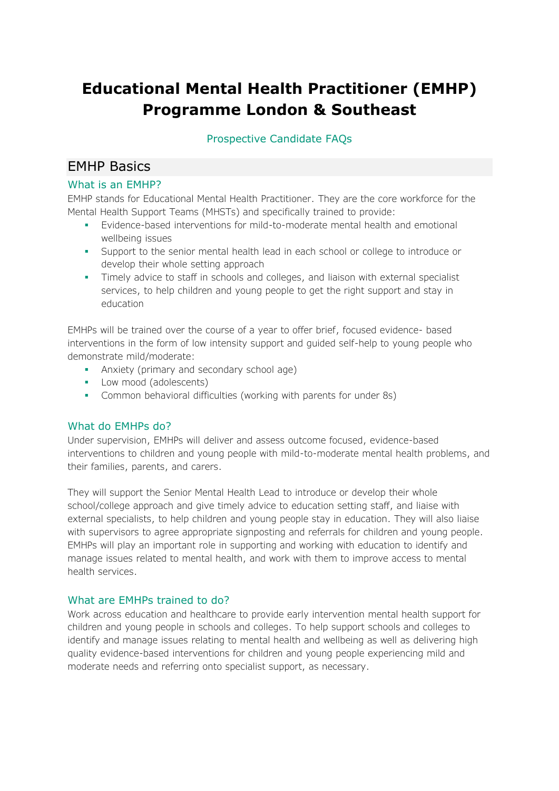# **Educational Mental Health Practitioner (EMHP) Programme London & Southeast**

# Prospective Candidate FAQs

# EMHP Basics

## What is an EMHP?

EMHP stands for Educational Mental Health Practitioner. They are the core workforce for the Mental Health Support Teams (MHSTs) and specifically trained to provide:

- Evidence-based interventions for mild-to-moderate mental health and emotional wellbeing issues
- Support to the senior mental health lead in each school or college to introduce or develop their whole setting approach
- **•** Timely advice to staff in schools and colleges, and liaison with external specialist services, to help children and young people to get the right support and stay in education

EMHPs will be trained over the course of a year to offer brief, focused evidence- based interventions in the form of low intensity support and guided self-help to young people who demonstrate mild/moderate:

- **•** Anxiety (primary and secondary school age)
- **•** Low mood (adolescents)
- **•** Common behavioral difficulties (working with parents for under 8s)

### What do EMHPs do?

Under supervision, EMHPs will deliver and assess outcome focused, evidence-based interventions to children and young people with mild-to-moderate mental health problems, and their families, parents, and carers.

They will support the Senior Mental Health Lead to introduce or develop their whole school/college approach and give timely advice to education setting staff, and liaise with external specialists, to help children and young people stay in education. They will also liaise with supervisors to agree appropriate signposting and referrals for children and young people. EMHPs will play an important role in supporting and working with education to identify and manage issues related to mental health, and work with them to improve access to mental health services.

### What are EMHPs trained to do?

Work across education and healthcare to provide early intervention mental health support for children and young people in schools and colleges. To help support schools and colleges to identify and manage issues relating to mental health and wellbeing as well as delivering high quality evidence-based interventions for children and young people experiencing mild and moderate needs and referring onto specialist support, as necessary.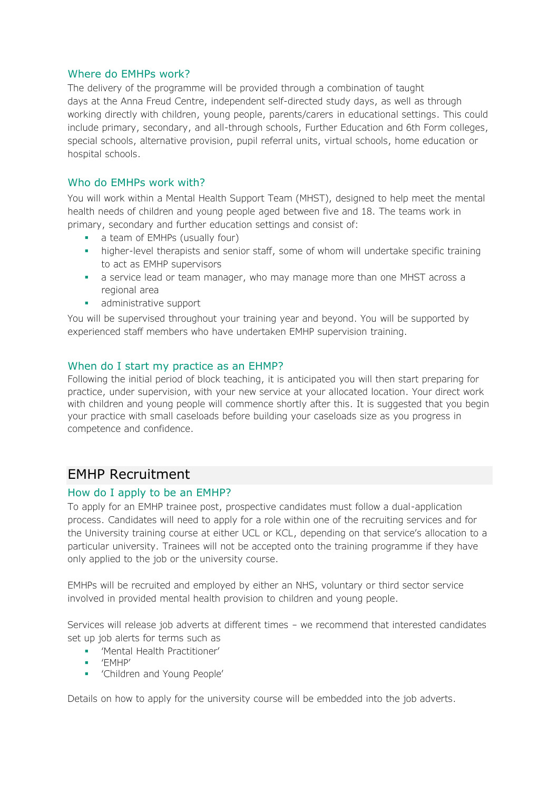#### Where do EMHPs work?

The delivery of the programme will be provided through a combination of taught days at the Anna Freud Centre, independent self-directed study days, as well as through working directly with children, young people, parents/carers in educational settings. This could include primary, secondary, and all-through schools, Further Education and 6th Form colleges, special schools, alternative provision, pupil referral units, virtual schools, home education or hospital schools.

### Who do EMHPs work with?

You will work within a Mental Health Support Team (MHST), designed to help meet the mental health needs of children and young people aged between five and 18. The teams work in primary, secondary and further education settings and consist of:

- **•** a team of EMHPs (usually four)
- higher-level therapists and senior staff, some of whom will undertake specific training to act as EMHP supervisors
- **•** a service lead or team manager, who may manage more than one MHST across a regional area
- **•** administrative support

You will be supervised throughout your training year and beyond. You will be supported by experienced staff members who have undertaken EMHP supervision training.

#### When do I start my practice as an EHMP?

Following the initial period of block teaching, it is anticipated you will then start preparing for practice, under supervision, with your new service at your allocated location. Your direct work with children and young people will commence shortly after this. It is suggested that you begin your practice with small caseloads before building your caseloads size as you progress in competence and confidence.

# EMHP Recruitment

#### How do I apply to be an EMHP?

To apply for an EMHP trainee post, prospective candidates must follow a dual-application process. Candidates will need to apply for a role within one of the recruiting services and for the University training course at either UCL or KCL, depending on that service's allocation to a particular university. Trainees will not be accepted onto the training programme if they have only applied to the job or the university course.

EMHPs will be recruited and employed by either an NHS, voluntary or third sector service involved in provided mental health provision to children and young people.

Services will release job adverts at different times – we recommend that interested candidates set up job alerts for terms such as

- 'Mental Health Practitioner'
- 'EMHP'
- 'Children and Young People'

Details on how to apply for the university course will be embedded into the job adverts.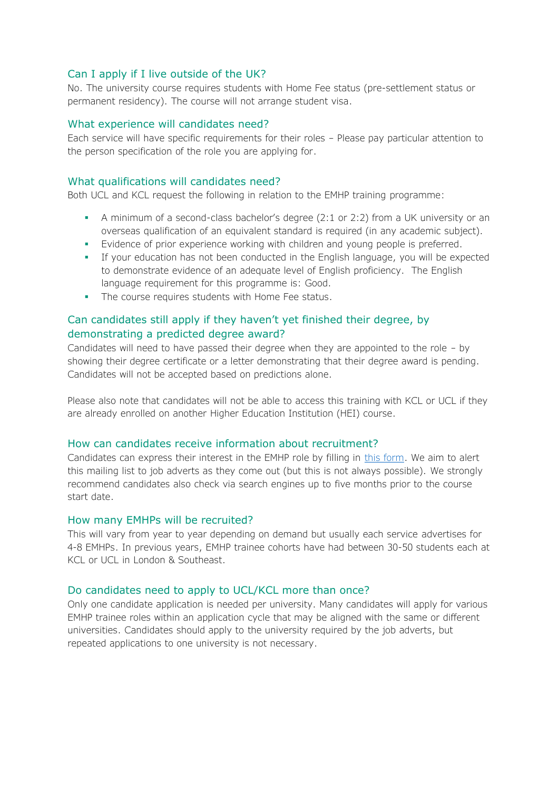#### Can I apply if I live outside of the UK?

No. The university course requires students with Home Fee status (pre-settlement status or permanent residency). The course will not arrange student visa.

#### What experience will candidates need?

Each service will have specific requirements for their roles – Please pay particular attention to the person specification of the role you are applying for.

#### What qualifications will candidates need?

Both UCL and KCL request the following in relation to the EMHP training programme:

- A minimum of a second-class bachelor's degree (2:1 or 2:2) from a UK university or an overseas qualification of an equivalent standard is required (in any academic subject).
- Evidence of prior experience working with children and young people is preferred.
- If your education has not been conducted in the English language, you will be expected to demonstrate evidence of an adequate level of English proficiency. The English language requirement for this programme is: Good.
- **•** The course requires students with Home Fee status.

# Can candidates still apply if they haven't yet finished their degree, by demonstrating a predicted degree award?

Candidates will need to have passed their degree when they are appointed to the role – by showing their degree certificate or a letter demonstrating that their degree award is pending. Candidates will not be accepted based on predictions alone.

Please also note that candidates will not be able to access this training with KCL or UCL if they are already enrolled on another Higher Education Institution (HEI) course.

#### How can candidates receive information about recruitment?

Candidates can express their interest in the EMHP role by filling in [this form.](http://eepurl.com/g-nfrX) We aim to alert this mailing list to job adverts as they come out (but this is not always possible). We strongly recommend candidates also check via search engines up to five months prior to the course start date.

#### How many EMHPs will be recruited?

This will vary from year to year depending on demand but usually each service advertises for 4-8 EMHPs. In previous years, EMHP trainee cohorts have had between 30-50 students each at KCL or UCL in London & Southeast.

#### Do candidates need to apply to UCL/KCL more than once?

Only one candidate application is needed per university. Many candidates will apply for various EMHP trainee roles within an application cycle that may be aligned with the same or different universities. Candidates should apply to the university required by the job adverts, but repeated applications to one university is not necessary.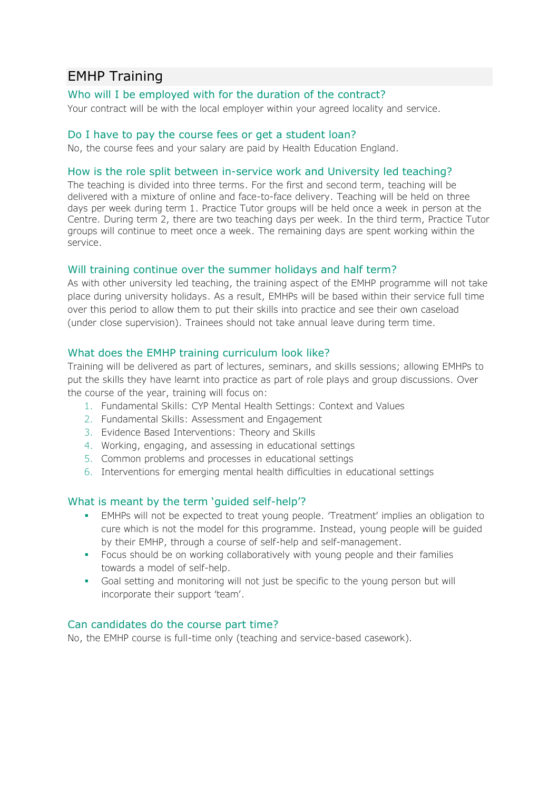# EMHP Training

### Who will I be employed with for the duration of the contract?

Your contract will be with the local employer within your agreed locality and service.

#### Do I have to pay the course fees or get a student loan?

No, the course fees and your salary are paid by Health Education England.

#### How is the role split between in-service work and University led teaching?

The teaching is divided into three terms. For the first and second term, teaching will be delivered with a mixture of online and face-to-face delivery. Teaching will be held on three days per week during term 1. Practice Tutor groups will be held once a week in person at the Centre. During term 2, there are two teaching days per week. In the third term, Practice Tutor groups will continue to meet once a week. The remaining days are spent working within the service.

#### Will training continue over the summer holidays and half term?

As with other university led teaching, the training aspect of the EMHP programme will not take place during university holidays. As a result, EMHPs will be based within their service full time over this period to allow them to put their skills into practice and see their own caseload (under close supervision). Trainees should not take annual leave during term time.

#### What does the EMHP training curriculum look like?

Training will be delivered as part of lectures, seminars, and skills sessions; allowing EMHPs to put the skills they have learnt into practice as part of role plays and group discussions. Over the course of the year, training will focus on:

- 1. Fundamental Skills: CYP Mental Health Settings: Context and Values
- 2. Fundamental Skills: Assessment and Engagement
- 3. Evidence Based Interventions: Theory and Skills
- 4. Working, engaging, and assessing in educational settings
- 5. Common problems and processes in educational settings
- 6. Interventions for emerging mental health difficulties in educational settings

#### What is meant by the term 'guided self-help'?

- **•** EMHPs will not be expected to treat young people. 'Treatment' implies an obligation to cure which is not the model for this programme. Instead, young people will be guided by their EMHP, through a course of self-help and self-management.
- **•** Focus should be on working collaboratively with young people and their families towards a model of self-help.
- Goal setting and monitoring will not just be specific to the young person but will incorporate their support 'team'.

#### Can candidates do the course part time?

No, the EMHP course is full-time only (teaching and service-based casework).